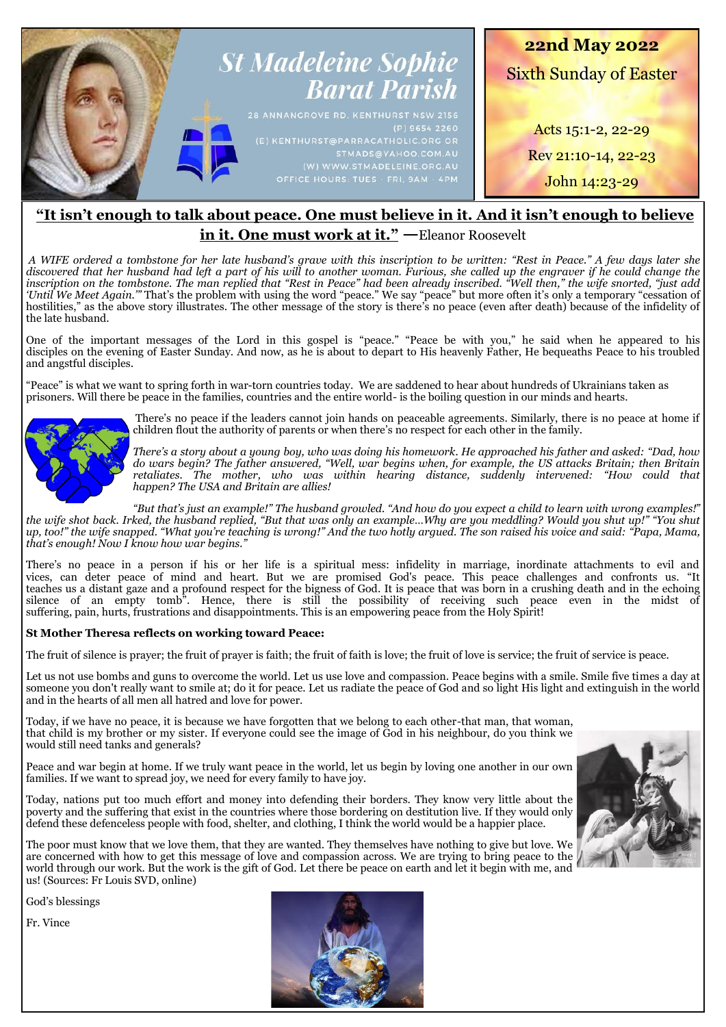

## **"It isn't enough to talk about peace. One must believe in it. And it isn't enough to believe in it. One must work at it." —**Eleanor Roosevelt

*A WIFE ordered a tombstone for her late husband's grave with this inscription to be written: "Rest in Peace." A few days later she discovered that her husband had left a part of his will to another woman. Furious, she called up the engraver if he could change the inscription on the tombstone. The man replied that "Rest in Peace" had been already inscribed. "Well then," the wife snorted, "just add 'Until We Meet Again.'"* That's the problem with using the word "peace." We say "peace" but more often it's only a temporary "cessation of hostilities," as the above story illustrates. The other message of the story is there's no peace (even after death) because of the infidelity of the late husband.

One of the important messages of the Lord in this gospel is "peace." "Peace be with you," he said when he appeared to his disciples on the evening of Easter Sunday. And now, as he is about to depart to His heavenly Father, He bequeaths Peace to his troubled and angstful disciples.

"Peace" is what we want to spring forth in war-torn countries today. We are saddened to hear about hundreds of Ukrainians taken as prisoners. Will there be peace in the families, countries and the entire world- is the boiling question in our minds and hearts.



There's no peace if the leaders cannot join hands on peaceable agreements. Similarly, there is no peace at home if children flout the authority of parents or when there's no respect for each other in the family.

*There's a story about a young boy, who was doing his homework. He approached his father and asked: "Dad, how do wars begin? The father answered, "Well, war begins when, for example, the US attacks Britain; then Britain retaliates. The mother, who was within hearing distance, suddenly intervened: "How could that happen? The USA and Britain are allies!*

*"But that's just an example!" The husband growled. "And how do you expect a child to learn with wrong examples!" the wife shot back. Irked, the husband replied, "But that was only an example…Why are you meddling? Would you shut up!" "You shut up, too!" the wife snapped. "What you're teaching is wrong!" And the two hotly argued. The son raised his voice and said: "Papa, Mama, that's enough! Now I know how war begins."*

There's no peace in a person if his or her life is a spiritual mess: infidelity in marriage, inordinate attachments to evil and vices, can deter peace of mind and heart. But we are promised God's peace. This peace challenges and confronts us. "It teaches us a distant gaze and a profound respect for the bigness of God. It is peace that was born in a crushing death and in the echoing silence of an empty tomb". Hence, there is still the possibility of receiving such peace even in the midst of suffering, pain, hurts, frustrations and disappointments. This is an empowering peace from the Holy Spirit!

#### **St Mother Theresa reflects on working toward Peace:**

The fruit of silence is prayer; the fruit of prayer is faith; the fruit of faith is love; the fruit of love is service; the fruit of service is peace.

Let us not use bombs and guns to overcome the world. Let us use love and compassion. Peace begins with a smile. Smile five times a day at someone you don't really want to smile at; do it for peace. Let us radiate the peace of God and so light His light and extinguish in the world and in the hearts of all men all hatred and love for power.

Today, if we have no peace, it is because we have forgotten that we belong to each other-that man, that woman, that child is my brother or my sister. If everyone could see the image of God in his neighbour, do you think we would still need tanks and generals?

Peace and war begin at home. If we truly want peace in the world, let us begin by loving one another in our own families. If we want to spread joy, we need for every family to have joy.

Today, nations put too much effort and money into defending their borders. They know very little about the poverty and the suffering that exist in the countries where those bordering on destitution live. If they would only defend these defenceless people with food, shelter, and clothing, I think the world would be a happier place.



The poor must know that we love them, that they are wanted. They themselves have nothing to give but love. We are concerned with how to get this message of love and compassion across. We are trying to bring peace to the world through our work. But the work is the gift of God. Let there be peace on earth and let it begin with me, and us! (Sources: Fr Louis SVD, online)

God's blessings

Fr. Vince

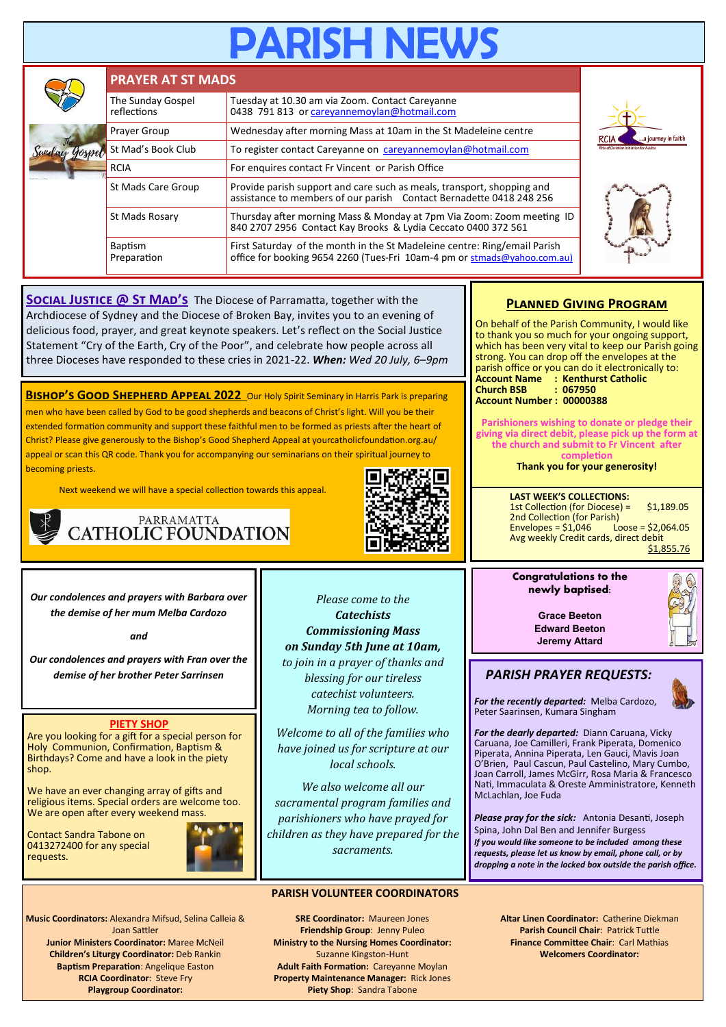# **RISH NE**

| <b>PRAYER AT ST MADS</b>         |                                                                                                                                                       |  |  |  |
|----------------------------------|-------------------------------------------------------------------------------------------------------------------------------------------------------|--|--|--|
| The Sunday Gospel<br>reflections | Tuesday at 10.30 am via Zoom. Contact Careyanne<br>0438 791 813 or careyannemoylan@hotmail.com                                                        |  |  |  |
| Prayer Group                     | Wednesday after morning Mass at 10am in the St Madeleine centre                                                                                       |  |  |  |
| St Mad's Book Club               | To register contact Careyanne on careyannemoylan@hotmail.com                                                                                          |  |  |  |
| <b>RCIA</b>                      | For enquires contact Fr Vincent or Parish Office                                                                                                      |  |  |  |
| St Mads Care Group               | Provide parish support and care such as meals, transport, shopping and<br>assistance to members of our parish Contact Bernadette 0418 248 256         |  |  |  |
| St Mads Rosary                   | Thursday after morning Mass & Monday at 7pm Via Zoom: Zoom meeting ID<br>840 2707 2956 Contact Kay Brooks & Lydia Ceccato 0400 372 561                |  |  |  |
| <b>Baptism</b><br>Preparation    | First Saturday of the month in the St Madeleine centre: Ring/email Parish<br>office for booking 9654 2260 (Tues-Fri 10am-4 pm or stmads@yahoo.com.au) |  |  |  |
|                                  |                                                                                                                                                       |  |  |  |

**SOCIAL JUSTICE @ ST MAD'S** The Diocese of Parramatta, together with the Archdiocese of Sydney and the Diocese of Broken Bay, invites you to an evening of delicious food, prayer, and great keynote speakers. Let's reflect on the Social Justice Statement "Cry of the Earth, Cry of the Poor", and celebrate how people across all three Dioceses have responded to these cries in 2021-22. *When: Wed 20 July, 6–9pm*

**BISHOP'S GOOD SHEPHERD APPEAL 2022** Our Holy Spirit Seminary in Harris Park is preparing men who have been called by God to be good shepherds and beacons of Christ's light. Will you be their extended formation community and support these faithful men to be formed as priests after the heart of Christ? Please give generously to the Bishop's Good Shepherd Appeal at yourcatholicfoundation.org.au/ appeal or scan this QR code. Thank you for accompanying our seminarians on their spiritual journey to becoming priests.

Next weekend we will have a special collection towards this appeal.





*Please come to the Catechists Commissioning Mass on Sunday 5th June at 10am, to join in a prayer of thanks and blessing for our tireless catechist volunteers. Morning tea to follow. Welcome to all of the families who have joined us for scripture at our local schools. We also welcome all our sacramental program families and parishioners who have prayed for children as they have prepared for the sacraments.*

*Our condolences and prayers with Barbara over the demise of her mum Melba Cardozo*

*and*

*Our condolences and prayers with Fran over the demise of her brother Peter Sarrinsen* 

## **PIETY SHOP**

Are you looking for a gift for a special person for Holy Communion, Confirmation, Baptism & Birthdays? Come and have a look in the piety shop.

We have an ever changing array of gifts and religious items. Special orders are welcome too. We are open after every weekend mass.

Contact Sandra Tabone on 0413272400 for any special requests.



**Music Coordinators:** Alexandra Mifsud, Selina Calleia & Joan Sattler **Junior Ministers Coordinator:** Maree McNeil **Children's Liturgy Coordinator:** Deb Rankin **Baptism Preparation**: Angelique Easton **RCIA Coordinator**: Steve Fry **Playgroup Coordinator:** 

**SRE Coordinator:** Maureen Jones **Friendship Group**: Jenny Puleo **Ministry to the Nursing Homes Coordinator:**  Suzanne Kingston-Hunt **Adult Faith Formation:** Careyanne Moylan **Property Maintenance Manager:** Rick Jones **Piety Shop**: Sandra Tabone

**PARISH VOLUNTEER COORDINATORS**

## **Planned Giving Program**

On behalf of the Parish Community, I would like to thank you so much for your ongoing support, which has been very vital to keep our Parish going strong. You can drop off the envelopes at the parish office or you can do it electronically to: **Account Name : Kenthurst Catholic Church BSB Account Number : 00000388**

**Parishioners wishing to donate or pledge their giving via direct debit, please pick up the form at the church and submit to Fr Vincent after completion**

**Thank you for your generosity!**

**LAST WEEK'S COLLECTIONS:** 1st Collection (for Diocese) = \$1,189.05  $2$ nd Collection (for Parish)<br>Envelopes = \$1,046 Loose = \$2,064.05 Envelopes =  $$1,046$ Avg weekly Credit cards, direct debit \$1,855.76

#### **Congratulations to the newly baptised:**

**Grace Beeton Edward Beeton Jeremy Attard**

## *PARISH PRAYER REQUESTS:*

*For the recently departed:* Melba Cardozo, Peter Saarinsen, Kumara Singham

*For the dearly departed:* Diann Caruana, Vicky Caruana, Joe Camilleri, Frank Piperata, Domenico Piperata, Annina Piperata, Len Gauci, Mavis Joan O'Brien, Paul Cascun, Paul Castelino, Mary Cumbo, Joan Carroll, James McGirr, Rosa Maria & Francesco Nati, Immaculata & Oreste Amministratore, Kenneth McLachlan, Joe Fuda

*Please pray for the sick:* Antonia Desanti, Joseph Spina, John Dal Ben and Jennifer Burgess *If you would like someone to be included among these requests, please let us know by email, phone call, or by dropping a note in the locked box outside the parish office.*

> **Altar Linen Coordinator:** Catherine Diekman **Parish Council Chair**: Patrick Tuttle **Finance Committee Chair**: Carl Mathias **Welcomers Coordinator:**



ourney i<mark>n</mark> faith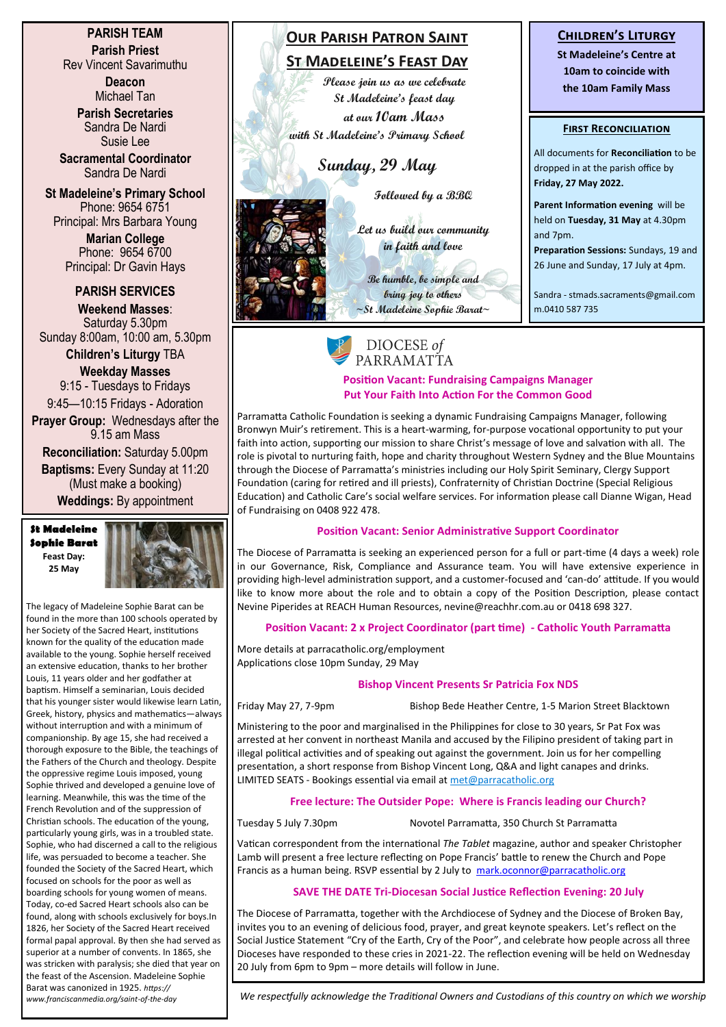#### **PARISH TEAM Parish Priest**

Rev Vincent Savarimuthu

**Deacon** Michael Tan **Parish Secretaries**

Sandra De Nardi Susie Lee

**Sacramental Coordinator** Sandra De Nardi

**St Madeleine's Primary School** Phone: 9654 6751 Principal: Mrs Barbara Young

> **Marian College** Phone: 9654 6700 Principal: Dr Gavin Hays

**PARISH SERVICES Weekend Masses**: Saturday 5.30pm Sunday 8:00am, 10:00 am, 5.30pm

**Children's Liturgy** TBA **Weekday Masses**  9:15 - Tuesdays to Fridays

9:45—10:15 Fridays - Adoration **Prayer Group:** Wednesdays after the

9.15 am Mass **Reconciliation:** Saturday 5.00pm

**Baptisms:** Every Sunday at 11:20 (Must make a booking) **Weddings:** By appointment

**St Madeleine Sophie Barat Feast Day: 25 May**



The legacy of Madeleine Sophie Barat can be found in the more than 100 schools operated by her Society of the Sacred Heart, institutions known for the quality of the education made available to the young. Sophie herself received an extensive education, thanks to her brother Louis, 11 years older and her godfather at baptism. Himself a seminarian, Louis decided that his younger sister would likewise learn Latin, Greek, history, physics and mathematics—always without interruption and with a minimum of companionship. By age 15, she had received a thorough exposure to the Bible, the teachings of the Fathers of the Church and theology. Despite the oppressive regime Louis imposed, young Sophie thrived and developed a genuine love of learning. Meanwhile, this was the time of the French Revolution and of the suppression of Christian schools. The education of the young, particularly young girls, was in a troubled state. Sophie, who had discerned a call to the religious life, was persuaded to become a teacher. She founded the Society of the Sacred Heart, which focused on schools for the poor as well as boarding schools for young women of means. Today, co-ed Sacred Heart schools also can be found, along with schools exclusively for boys.In 1826, her Society of the Sacred Heart received formal papal approval. By then she had served as superior at a number of convents. In 1865, she was stricken with paralysis; she died that year on the feast of the Ascension. Madeleine Sophie Barat was canonized in 1925. *https:// www.franciscanmedia.org/saint-of-the-day*

## **Our Parish Patron Saint**

## **St Madeleine's Feast Day**

**Please join us as we celebrate St Madeleine's feast day at our 10am Mass with St Madeleine's Primary School**

**Sunday, 29 May**

**Followed by a BBQ**

**Let us build our community in faith and love**

**Be humble, be simple and bring joy to others ~St Madeleine Sophie Barat~**

## **Children's Liturgy**

**St Madeleine's Centre at 10am to coincide with the 10am Family Mass**

#### **First Reconciliation**

All documents for **Reconciliation** to be dropped in at the parish office by **Friday, 27 May 2022.** 

**Parent Information evening** will be held on **Tuesday, 31 May** at 4.30pm and 7pm.

**Preparation Sessions:** Sundays, 19 and 26 June and Sunday, 17 July at 4pm.

Sandra - stmads.sacraments@gmail.com m.0410 587 735



### **Position Vacant: Fundraising Campaigns Manager Put Your Faith Into Action For the Common Good**

Parramatta Catholic Foundation is seeking a dynamic Fundraising Campaigns Manager, following Bronwyn Muir's retirement. This is a heart-warming, for-purpose vocational opportunity to put your faith into action, supporting our mission to share Christ's message of love and salvation with all. The role is pivotal to nurturing faith, hope and charity throughout Western Sydney and the Blue Mountains through the Diocese of Parramatta's ministries including our Holy Spirit Seminary, Clergy Support Foundation (caring for retired and ill priests), Confraternity of Christian Doctrine (Special Religious Education) and Catholic Care's social welfare services. For information please call Dianne Wigan, Head of Fundraising on 0408 922 478.

## **Position Vacant: Senior Administrative Support Coordinator**

The Diocese of Parramatta is seeking an experienced person for a full or part-time (4 days a week) role in our Governance, Risk, Compliance and Assurance team. You will have extensive experience in providing high-level administration support, and a customer-focused and 'can-do' attitude. If you would like to know more about the role and to obtain a copy of the Position Description, please contact Nevine Piperides at REACH Human Resources, [nevine@reachhr.com.au o](mailto:nevine@reachhr.com.au)r 0418 698 327.

## **Position Vacant: 2 x Project Coordinator (part time) - Catholic Youth Parramatta**

More details at parracatholic.org/employment Applications close 10pm Sunday, 29 May

## **Bishop Vincent Presents Sr Patricia Fox NDS**

Friday May 27, 7-9pm Bishop Bede Heather Centre, 1-5 Marion Street Blacktown

Ministering to the poor and marginalised in the Philippines for close to 30 years, Sr Pat Fox was arrested at her convent in northeast Manila and accused by the Filipino president of taking part in illegal political activities and of speaking out against the government. Join us for her compelling presentation, a short response from Bishop Vincent Long, Q&A and light canapes and drinks. LIMITED SEATS - Bookings essential via email at [met@parracatholic.org](mailto:met@parracatholic.org)

## **Free lecture: The Outsider Pope: Where is Francis leading our Church?**

Tuesday 5 July 7.30pm Novotel Parramatta, 350 Church St Parramatta

Vatican correspondent from the international *The Tablet* magazine, author and speaker Christopher Lamb will present a free lecture reflecting on Pope Francis' battle to renew the Church and Pope Francis as a human being. RSVP essential by 2 July to <mark.oconnor@parracatholic.org>

## **SAVE THE DATE Tri-Diocesan Social Justice Reflection Evening: 20 July**

The Diocese of Parramatta, together with the Archdiocese of Sydney and the Diocese of Broken Bay, invites you to an evening of delicious food, prayer, and great keynote speakers. Let's reflect on the Social Justice Statement "Cry of the Earth, Cry of the Poor", and celebrate how people across all three Dioceses have responded to these cries in 2021-22. The reflection evening will be held on Wednesday 20 July from 6pm to 9pm – more details will follow in June.